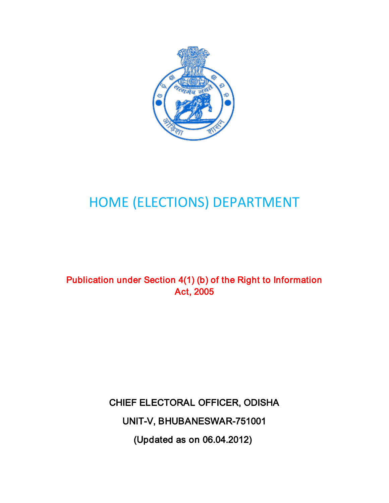

## HOME (ELECTIONS) DEPARTMENT

## Publication under Section 4(1) (b) of the Right to Information Act, 2005

CHIEF ELECTORAL OFFICER, ODISHA UNIT-V, BHUBANESWAR-751001 (Updated as on 06.04.2012)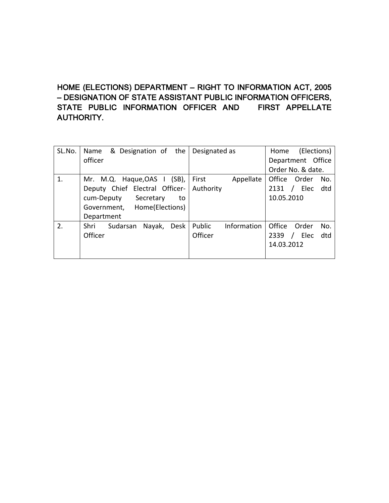## HOME (ELECTIONS) DEPARTMENT – RIGHT TO INFORMATION ACT, 2005 – DESIGNATION OF STATE ASSISTANT PUBLIC INFORMATION OFFICERS, STATE PUBLIC INFORMATION OFFICER AND FIRST APPELLATE AUTHORITY.

| SL.No. | Name<br>& Designation of the       | Designated as         | (Elections)<br>Home    |
|--------|------------------------------------|-----------------------|------------------------|
|        | officer                            |                       | Department Office      |
|        |                                    |                       | Order No. & date.      |
| 1.     | Mr. M.Q. Haque, OAS $\mid$ (SB),   | First<br>Appellate    | Office Order<br>No.    |
|        | Deputy Chief Electral Officer-     | Authority             | / Elec<br>2131<br>dtd  |
|        | cum-Deputy<br>Secretary<br>to      |                       | 10.05.2010             |
|        | Government, Home(Elections)        |                       |                        |
|        | Department                         |                       |                        |
| 2.     | Shri<br>Desk<br>Sudarsan<br>Nayak, | Public<br>Information | Office<br>Order<br>No. |
|        | Officer                            | Officer               | Elec<br>dtd<br>2339    |
|        |                                    |                       | 14.03.2012             |
|        |                                    |                       |                        |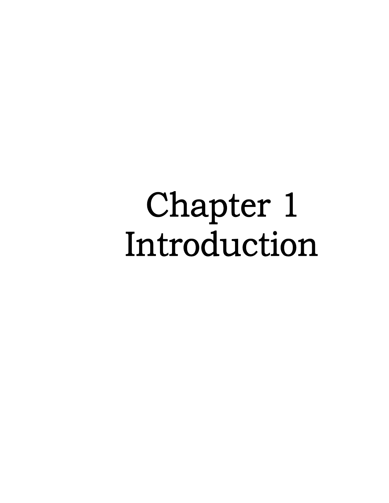## Chapter 1 Introduction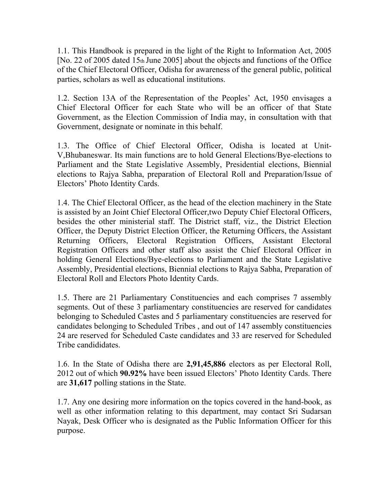1.1. This Handbook is prepared in the light of the Right to Information Act, 2005 [No. 22 of 2005 dated 15th June 2005] about the objects and functions of the Office of the Chief Electoral Officer, Odisha for awareness of the general public, political parties, scholars as well as educational institutions.

1.2. Section 13A of the Representation of the Peoples' Act, 1950 envisages a Chief Electoral Officer for each State who will be an officer of that State Government, as the Election Commission of India may, in consultation with that Government, designate or nominate in this behalf.

1.3. The Office of Chief Electoral Officer, Odisha is located at Unit-V,Bhubaneswar. Its main functions are to hold General Elections/Bye-elections to Parliament and the State Legislative Assembly, Presidential elections, Biennial elections to Rajya Sabha, preparation of Electoral Roll and Preparation/Issue of Electors' Photo Identity Cards.

1.4. The Chief Electoral Officer, as the head of the election machinery in the State is assisted by an Joint Chief Electoral Officer,two Deputy Chief Electoral Officers, besides the other ministerial staff. The District staff, viz., the District Election Officer, the Deputy District Election Officer, the Returning Officers, the Assistant Returning Officers, Electoral Registration Officers, Assistant Electoral Registration Officers and other staff also assist the Chief Electoral Officer in holding General Elections/Bye-elections to Parliament and the State Legislative Assembly, Presidential elections, Biennial elections to Rajya Sabha, Preparation of Electoral Roll and Electors Photo Identity Cards.

1.5. There are 21 Parliamentary Constituencies and each comprises 7 assembly segments. Out of these 3 parliamentary constituencies are reserved for candidates belonging to Scheduled Castes and 5 parliamentary constituencies are reserved for candidates belonging to Scheduled Tribes , and out of 147 assembly constituencies 24 are reserved for Scheduled Caste candidates and 33 are reserved for Scheduled Tribe candididates.

1.6. In the State of Odisha there are **2,91,45,886** electors as per Electoral Roll, 2012 out of which **90.92%** have been issued Electors' Photo Identity Cards. There are **31,617** polling stations in the State.

1.7. Any one desiring more information on the topics covered in the hand-book, as well as other information relating to this department, may contact Sri Sudarsan Nayak, Desk Officer who is designated as the Public Information Officer for this purpose.